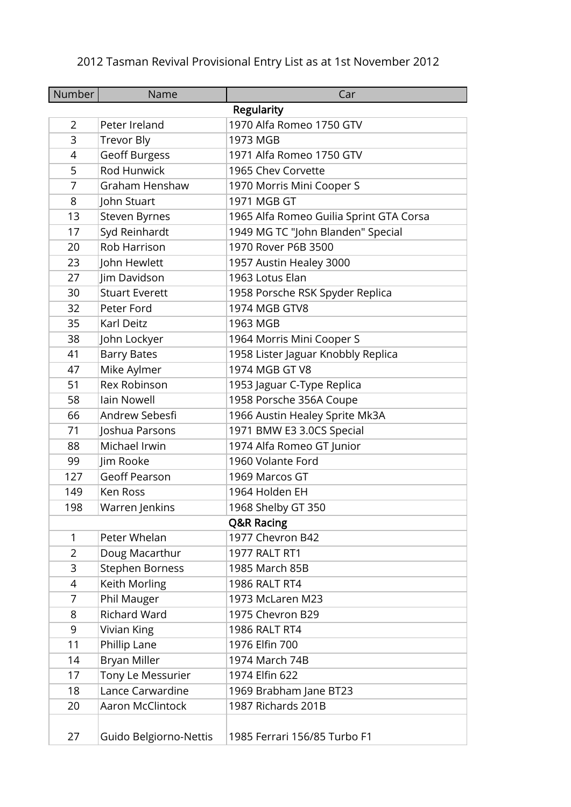## 2012 Tasman Revival Provisional Entry List as at 1st November 2012

| <b>Number</b>  | Name                   | Car                                     |
|----------------|------------------------|-----------------------------------------|
|                |                        | <b>Regularity</b>                       |
| $\overline{2}$ | Peter Ireland          | 1970 Alfa Romeo 1750 GTV                |
| 3              | <b>Trevor Bly</b>      | 1973 MGB                                |
| 4              | <b>Geoff Burgess</b>   | 1971 Alfa Romeo 1750 GTV                |
| 5              | Rod Hunwick            | 1965 Chev Corvette                      |
| 7              | Graham Henshaw         | 1970 Morris Mini Cooper S               |
| 8              | John Stuart            | 1971 MGB GT                             |
| 13             | Steven Byrnes          | 1965 Alfa Romeo Guilia Sprint GTA Corsa |
| 17             | Syd Reinhardt          | 1949 MG TC "John Blanden" Special       |
| 20             | Rob Harrison           | 1970 Rover P6B 3500                     |
| 23             | John Hewlett           | 1957 Austin Healey 3000                 |
| 27             | Jim Davidson           | 1963 Lotus Elan                         |
| 30             | <b>Stuart Everett</b>  | 1958 Porsche RSK Spyder Replica         |
| 32             | Peter Ford             | 1974 MGB GTV8                           |
| 35             | Karl Deitz             | 1963 MGB                                |
| 38             | John Lockyer           | 1964 Morris Mini Cooper S               |
| 41             | <b>Barry Bates</b>     | 1958 Lister Jaguar Knobbly Replica      |
| 47             | Mike Aylmer            | 1974 MGB GT V8                          |
| 51             | Rex Robinson           | 1953 Jaguar C-Type Replica              |
| 58             | Iain Nowell            | 1958 Porsche 356A Coupe                 |
| 66             | Andrew Sebesfi         | 1966 Austin Healey Sprite Mk3A          |
| 71             | Joshua Parsons         | 1971 BMW E3 3.0CS Special               |
| 88             | Michael Irwin          | 1974 Alfa Romeo GT Junior               |
| 99             | Jim Rooke              | 1960 Volante Ford                       |
| 127            | <b>Geoff Pearson</b>   | 1969 Marcos GT                          |
| 149            | Ken Ross               | 1964 Holden EH                          |
| 198            | Warren Jenkins         | 1968 Shelby GT 350                      |
|                |                        | <b>Q&amp;R Racing</b>                   |
| 1              | Peter Whelan           | 1977 Chevron B42                        |
| 2              | Doug Macarthur         | <b>1977 RALT RT1</b>                    |
| 3              | Stephen Borness        | 1985 March 85B                          |
| 4              | Keith Morling          | <b>1986 RALT RT4</b>                    |
| 7              | Phil Mauger            | 1973 McLaren M23                        |
| 8              | <b>Richard Ward</b>    | 1975 Chevron B29                        |
| 9              | Vivian King            | <b>1986 RALT RT4</b>                    |
| 11             | Phillip Lane           | 1976 Elfin 700                          |
| 14             | <b>Bryan Miller</b>    | 1974 March 74B                          |
| 17             | Tony Le Messurier      | 1974 Elfin 622                          |
| 18             | Lance Carwardine       | 1969 Brabham Jane BT23                  |
| 20             | Aaron McClintock       | 1987 Richards 201B                      |
| 27             | Guido Belgiorno-Nettis | 1985 Ferrari 156/85 Turbo F1            |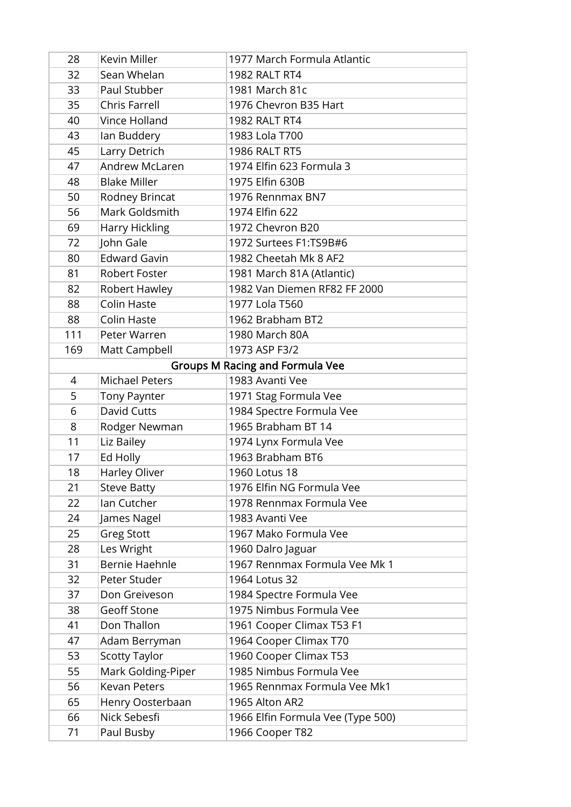| 28  | Kevin Miller          | 1977 March Formula Atlantic            |
|-----|-----------------------|----------------------------------------|
| 32  | Sean Whelan           | 1982 RALT RT4                          |
| 33  | Paul Stubber          | 1981 March 81c                         |
| 35  | Chris Farrell         | 1976 Chevron B35 Hart                  |
| 40  | Vince Holland         | <b>1982 RALT RT4</b>                   |
| 43  | lan Buddery           | 1983 Lola T700                         |
| 45  | Larry Detrich         | <b>1986 RALT RT5</b>                   |
| 47  | <b>Andrew McLaren</b> | 1974 Elfin 623 Formula 3               |
| 48  | <b>Blake Miller</b>   | 1975 Elfin 630B                        |
| 50  | Rodney Brincat        | 1976 Rennmax BN7                       |
| 56  | Mark Goldsmith        | 1974 Elfin 622                         |
| 69  | Harry Hickling        | 1972 Chevron B20                       |
| 72  | John Gale             | 1972 Surtees F1:TS9B#6                 |
| 80  | <b>Edward Gavin</b>   | 1982 Cheetah Mk 8 AF2                  |
| 81  | <b>Robert Foster</b>  | 1981 March 81A (Atlantic)              |
| 82  | Robert Hawley         | 1982 Van Diemen RF82 FF 2000           |
| 88  | <b>Colin Haste</b>    | 1977 Lola T560                         |
| 88  | <b>Colin Haste</b>    | 1962 Brabham BT2                       |
| 111 | Peter Warren          | 1980 March 80A                         |
| 169 | Matt Campbell         | 1973 ASP F3/2                          |
|     |                       | <b>Groups M Racing and Formula Vee</b> |
| 4   | <b>Michael Peters</b> | 1983 Avanti Vee                        |
| 5   | <b>Tony Paynter</b>   | 1971 Stag Formula Vee                  |
| 6   | David Cutts           | 1984 Spectre Formula Vee               |
| 8   | Rodger Newman         | 1965 Brabham BT 14                     |
| 11  | Liz Bailey            | 1974 Lynx Formula Vee                  |
| 17  | Ed Holly              | 1963 Brabham BT6                       |
| 18  | Harley Oliver         | 1960 Lotus 18                          |
| 21  | <b>Steve Batty</b>    | 1976 Elfin NG Formula Vee              |
| 22  | Ian Cutcher           | 1978 Rennmax Formula Vee               |
| 24  | James Nagel           | 1983 Avanti Vee                        |
| 25  | <b>Greg Stott</b>     | 1967 Mako Formula Vee                  |
| 28  | Les Wright            | 1960 Dalro Jaguar                      |
| 31  | <b>Bernie Haehnle</b> | 1967 Rennmax Formula Vee Mk 1          |
| 32  | Peter Studer          | 1964 Lotus 32                          |
| 37  | Don Greiveson         | 1984 Spectre Formula Vee               |
| 38  | <b>Geoff Stone</b>    | 1975 Nimbus Formula Vee                |
| 41  | Don Thallon           | 1961 Cooper Climax T53 F1              |
| 47  | Adam Berryman         | 1964 Cooper Climax T70                 |
| 53  | <b>Scotty Taylor</b>  | 1960 Cooper Climax T53                 |
| 55  | Mark Golding-Piper    | 1985 Nimbus Formula Vee                |
| 56  | <b>Kevan Peters</b>   | 1965 Rennmax Formula Vee Mk1           |
| 65  | Henry Oosterbaan      | 1965 Alton AR2                         |
| 66  | Nick Sebesfi          | 1966 Elfin Formula Vee (Type 500)      |
| 71  | Paul Busby            | 1966 Cooper T82                        |
|     |                       |                                        |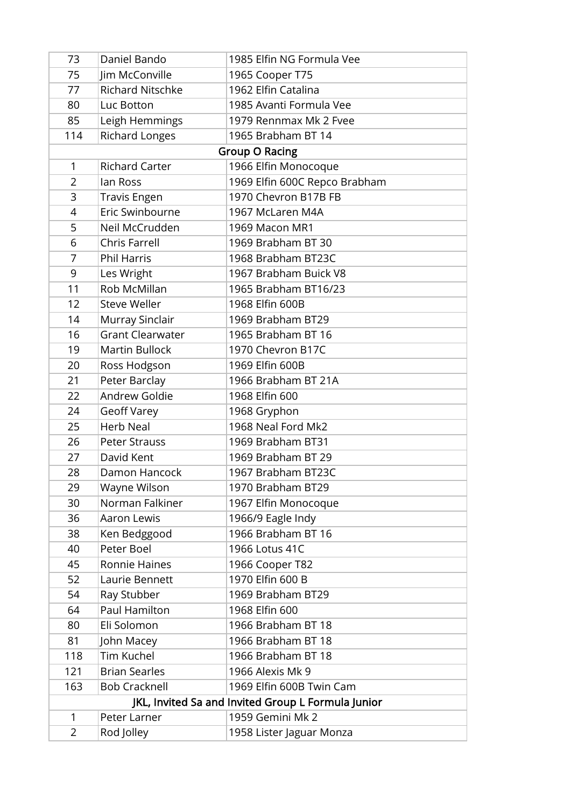| 73                                                 | Daniel Bando            | 1985 Elfin NG Formula Vee     |
|----------------------------------------------------|-------------------------|-------------------------------|
| 75                                                 | Jim McConville          | 1965 Cooper T75               |
| 77                                                 | <b>Richard Nitschke</b> | 1962 Elfin Catalina           |
| 80                                                 | Luc Botton              | 1985 Avanti Formula Vee       |
| 85                                                 | Leigh Hemmings          | 1979 Rennmax Mk 2 Fvee        |
| 114                                                | Richard Longes          | 1965 Brabham BT 14            |
|                                                    |                         | <b>Group O Racing</b>         |
| 1                                                  | <b>Richard Carter</b>   | 1966 Elfin Monocoque          |
| $\overline{2}$                                     | lan Ross                | 1969 Elfin 600C Repco Brabham |
| 3                                                  | <b>Travis Engen</b>     | 1970 Chevron B17B FB          |
| 4                                                  | Eric Swinbourne         | 1967 McLaren M4A              |
| 5                                                  | Neil McCrudden          | 1969 Macon MR1                |
| 6                                                  | <b>Chris Farrell</b>    | 1969 Brabham BT 30            |
| $\overline{7}$                                     | <b>Phil Harris</b>      | 1968 Brabham BT23C            |
| 9                                                  | Les Wright              | 1967 Brabham Buick V8         |
| 11                                                 | Rob McMillan            | 1965 Brabham BT16/23          |
| 12                                                 | <b>Steve Weller</b>     | 1968 Elfin 600B               |
| 14                                                 | Murray Sinclair         | 1969 Brabham BT29             |
| 16                                                 | <b>Grant Clearwater</b> | 1965 Brabham BT 16            |
| 19                                                 | <b>Martin Bullock</b>   | 1970 Chevron B17C             |
| 20                                                 | Ross Hodgson            | 1969 Elfin 600B               |
| 21                                                 | Peter Barclay           | 1966 Brabham BT 21A           |
| 22                                                 | Andrew Goldie           | 1968 Elfin 600                |
| 24                                                 | <b>Geoff Varey</b>      | 1968 Gryphon                  |
| 25                                                 | <b>Herb Neal</b>        | 1968 Neal Ford Mk2            |
| 26                                                 | <b>Peter Strauss</b>    | 1969 Brabham BT31             |
| 27                                                 | David Kent              | 1969 Brabham BT 29            |
| 28                                                 | Damon Hancock           | 1967 Brabham BT23C            |
| 29                                                 | Wayne Wilson            | 1970 Brabham BT29             |
| 30                                                 | Norman Falkiner         | 1967 Elfin Monocoque          |
| 36                                                 | <b>Aaron Lewis</b>      | 1966/9 Eagle Indy             |
| 38                                                 | Ken Bedggood            | 1966 Brabham BT 16            |
| 40                                                 | Peter Boel              | 1966 Lotus 41C                |
| 45                                                 | Ronnie Haines           | 1966 Cooper T82               |
| 52                                                 | Laurie Bennett          | 1970 Elfin 600 B              |
| 54                                                 | Ray Stubber             | 1969 Brabham BT29             |
| 64                                                 | Paul Hamilton           | 1968 Elfin 600                |
| 80                                                 | Eli Solomon             | 1966 Brabham BT 18            |
| 81                                                 | John Macey              | 1966 Brabham BT 18            |
| 118                                                | Tim Kuchel              | 1966 Brabham BT 18            |
| 121                                                | <b>Brian Searles</b>    | 1966 Alexis Mk 9              |
| 163                                                | <b>Bob Cracknell</b>    | 1969 Elfin 600B Twin Cam      |
| JKL, Invited Sa and Invited Group L Formula Junior |                         |                               |
| 1                                                  | Peter Larner            | 1959 Gemini Mk 2              |
| 2                                                  | Rod Jolley              | 1958 Lister Jaguar Monza      |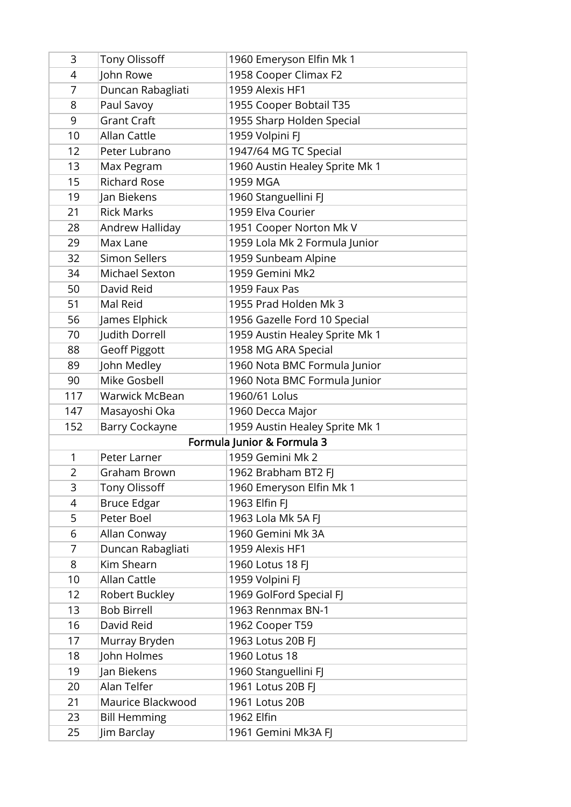| 3              | <b>Tony Olissoff</b>  | 1960 Emeryson Elfin Mk 1       |
|----------------|-----------------------|--------------------------------|
| 4              | John Rowe             | 1958 Cooper Climax F2          |
| $\overline{7}$ | Duncan Rabagliati     | 1959 Alexis HF1                |
| 8              | Paul Savoy            | 1955 Cooper Bobtail T35        |
| 9              | <b>Grant Craft</b>    | 1955 Sharp Holden Special      |
| 10             | <b>Allan Cattle</b>   | 1959 Volpini FJ                |
| 12             | Peter Lubrano         | 1947/64 MG TC Special          |
| 13             | Max Pegram            | 1960 Austin Healey Sprite Mk 1 |
| 15             | <b>Richard Rose</b>   | 1959 MGA                       |
| 19             | Jan Biekens           | 1960 Stanguellini FJ           |
| 21             | <b>Rick Marks</b>     | 1959 Elva Courier              |
| 28             | Andrew Halliday       | 1951 Cooper Norton Mk V        |
| 29             | Max Lane              | 1959 Lola Mk 2 Formula Junior  |
| 32             | <b>Simon Sellers</b>  | 1959 Sunbeam Alpine            |
| 34             | Michael Sexton        | 1959 Gemini Mk2                |
| 50             | David Reid            | 1959 Faux Pas                  |
| 51             | Mal Reid              | 1955 Prad Holden Mk 3          |
| 56             | James Elphick         | 1956 Gazelle Ford 10 Special   |
| 70             | Judith Dorrell        | 1959 Austin Healey Sprite Mk 1 |
| 88             | <b>Geoff Piggott</b>  | 1958 MG ARA Special            |
| 89             | John Medley           | 1960 Nota BMC Formula Junior   |
| 90             | Mike Gosbell          | 1960 Nota BMC Formula Junior   |
| 117            | <b>Warwick McBean</b> | 1960/61 Lolus                  |
| 147            | Masayoshi Oka         | 1960 Decca Major               |
| 152            | <b>Barry Cockayne</b> | 1959 Austin Healey Sprite Mk 1 |
|                |                       | Formula Junior & Formula 3     |
| $\mathbf{1}$   | Peter Larner          | 1959 Gemini Mk 2               |
| 2              | Graham Brown          | 1962 Brabham BT2 FJ            |
| 3              | <b>Tony Olissoff</b>  | 1960 Emeryson Elfin Mk 1       |
| 4              | <b>Bruce Edgar</b>    | 1963 Elfin FJ                  |
| 5              | Peter Boel            | 1963 Lola Mk 5A FJ             |
| 6              | Allan Conway          | 1960 Gemini Mk 3A              |
| 7              | Duncan Rabagliati     | 1959 Alexis HF1                |
| 8              | Kim Shearn            | 1960 Lotus 18 FJ               |
| 10             | Allan Cattle          | 1959 Volpini FJ                |
| 12             | Robert Buckley        | 1969 GolFord Special FJ        |
| 13             | <b>Bob Birrell</b>    | 1963 Rennmax BN-1              |
| 16             | David Reid            | 1962 Cooper T59                |
| 17             | Murray Bryden         | 1963 Lotus 20B FJ              |
| 18             | John Holmes           | 1960 Lotus 18                  |
| 19             | Jan Biekens           | 1960 Stanguellini FJ           |
| 20             | Alan Telfer           | 1961 Lotus 20B FJ              |
| 21             | Maurice Blackwood     | 1961 Lotus 20B                 |
| 23             | <b>Bill Hemming</b>   | 1962 Elfin                     |
| 25             | Jim Barclay           | 1961 Gemini Mk3A FJ            |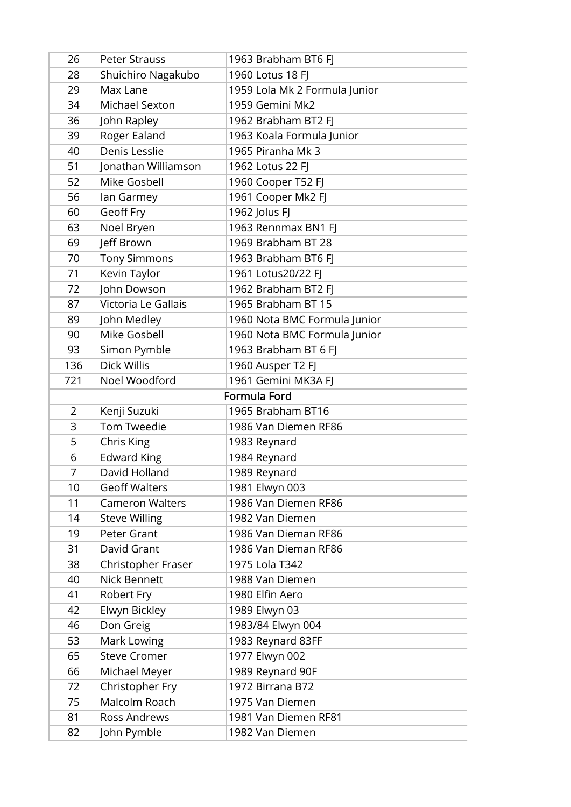| 26             | <b>Peter Strauss</b>   | 1963 Brabham BT6 FJ           |
|----------------|------------------------|-------------------------------|
| 28             | Shuichiro Nagakubo     | 1960 Lotus 18 FJ              |
| 29             | Max Lane               | 1959 Lola Mk 2 Formula Junior |
| 34             | Michael Sexton         | 1959 Gemini Mk2               |
| 36             | John Rapley            | 1962 Brabham BT2 FJ           |
| 39             | Roger Ealand           | 1963 Koala Formula Junior     |
| 40             | Denis Lesslie          | 1965 Piranha Mk 3             |
| 51             | Jonathan Williamson    | 1962 Lotus 22 FJ              |
| 52             | Mike Gosbell           | 1960 Cooper T52 FJ            |
| 56             | lan Garmey             | 1961 Cooper Mk2 FJ            |
| 60             | Geoff Fry              | 1962 Jolus FJ                 |
| 63             | Noel Bryen             | 1963 Rennmax BN1 FJ           |
| 69             | Jeff Brown             | 1969 Brabham BT 28            |
| 70             | <b>Tony Simmons</b>    | 1963 Brabham BT6 FJ           |
| 71             | Kevin Taylor           | 1961 Lotus20/22 FJ            |
| 72             | John Dowson            | 1962 Brabham BT2 FJ           |
| 87             | Victoria Le Gallais    | 1965 Brabham BT 15            |
| 89             | John Medley            | 1960 Nota BMC Formula Junior  |
| 90             | <b>Mike Gosbell</b>    | 1960 Nota BMC Formula Junior  |
| 93             | Simon Pymble           | 1963 Brabham BT 6 FJ          |
| 136            | <b>Dick Willis</b>     | 1960 Ausper T2 FJ             |
| 721            | Noel Woodford          | 1961 Gemini MK3A FJ           |
|                |                        | Formula Ford                  |
| $\overline{2}$ | Kenji Suzuki           | 1965 Brabham BT16             |
| 3              | <b>Tom Tweedie</b>     | 1986 Van Diemen RF86          |
| 5              | Chris King             | 1983 Reynard                  |
| 6              | <b>Edward King</b>     | 1984 Reynard                  |
| 7              | David Holland          | 1989 Reynard                  |
| 10             | <b>Geoff Walters</b>   | 1981 Elwyn 003                |
| 11             | <b>Cameron Walters</b> | 1986 Van Diemen RF86          |
| 14             | <b>Steve Willing</b>   | 1982 Van Diemen               |
| 19             | Peter Grant            | 1986 Van Dieman RF86          |
| 31             | David Grant            | 1986 Van Dieman RF86          |
| 38             | Christopher Fraser     | 1975 Lola T342                |
| 40             | <b>Nick Bennett</b>    | 1988 Van Diemen               |
| 41             | Robert Fry             | 1980 Elfin Aero               |
| 42             | Elwyn Bickley          | 1989 Elwyn 03                 |
| 46             | Don Greig              | 1983/84 Elwyn 004             |
| 53             | Mark Lowing            | 1983 Reynard 83FF             |
| 65             | <b>Steve Cromer</b>    | 1977 Elwyn 002                |
| 66             | Michael Meyer          | 1989 Reynard 90F              |
| 72             | Christopher Fry        | 1972 Birrana B72              |
| 75             | Malcolm Roach          | 1975 Van Diemen               |
| 81             | Ross Andrews           | 1981 Van Diemen RF81          |
| 82             | John Pymble            | 1982 Van Diemen               |
|                |                        |                               |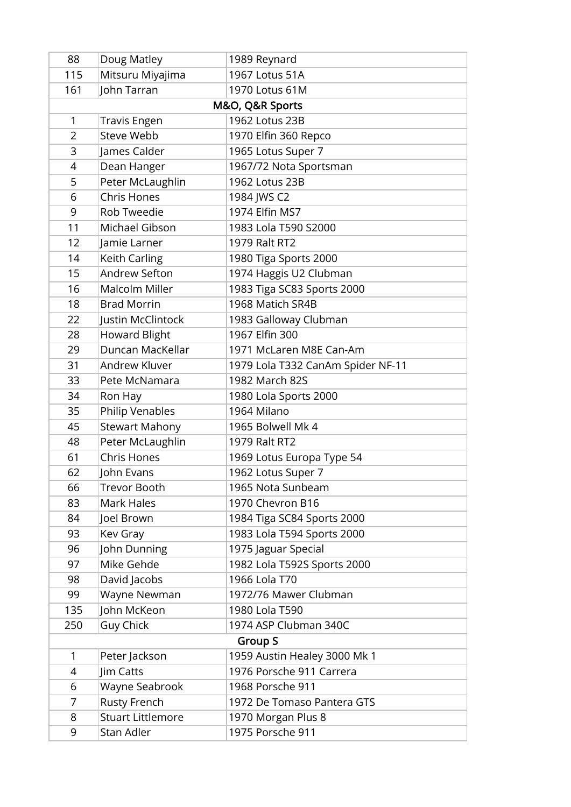| 88             | Doug Matley              | 1989 Reynard                      |
|----------------|--------------------------|-----------------------------------|
| 115            | Mitsuru Miyajima         | 1967 Lotus 51A                    |
| 161            | John Tarran              | 1970 Lotus 61M                    |
|                |                          | M&O, Q&R Sports                   |
| 1              | <b>Travis Engen</b>      | 1962 Lotus 23B                    |
| $\overline{2}$ | <b>Steve Webb</b>        | 1970 Elfin 360 Repco              |
| 3              | James Calder             | 1965 Lotus Super 7                |
| 4              | Dean Hanger              | 1967/72 Nota Sportsman            |
| 5              | Peter McLaughlin         | 1962 Lotus 23B                    |
| 6              | <b>Chris Hones</b>       | 1984 JWS C2                       |
| 9              | Rob Tweedie              | 1974 Elfin MS7                    |
| 11             | Michael Gibson           | 1983 Lola T590 S2000              |
| 12             | Jamie Larner             | 1979 Ralt RT2                     |
| 14             | Keith Carling            | 1980 Tiga Sports 2000             |
| 15             | Andrew Sefton            | 1974 Haggis U2 Clubman            |
| 16             | Malcolm Miller           | 1983 Tiga SC83 Sports 2000        |
| 18             | <b>Brad Morrin</b>       | 1968 Matich SR4B                  |
| 22             | Justin McClintock        | 1983 Galloway Clubman             |
| 28             | <b>Howard Blight</b>     | 1967 Elfin 300                    |
| 29             | Duncan MacKellar         | 1971 McLaren M8E Can-Am           |
| 31             | Andrew Kluver            | 1979 Lola T332 CanAm Spider NF-11 |
| 33             | Pete McNamara            | 1982 March 82S                    |
| 34             | Ron Hay                  | 1980 Lola Sports 2000             |
| 35             | Philip Venables          | 1964 Milano                       |
| 45             | <b>Stewart Mahony</b>    | 1965 Bolwell Mk 4                 |
| 48             | Peter McLaughlin         | 1979 Ralt RT2                     |
| 61             | <b>Chris Hones</b>       | 1969 Lotus Europa Type 54         |
| 62             | John Evans               | 1962 Lotus Super 7                |
| 66             | <b>Trevor Booth</b>      | 1965 Nota Sunbeam                 |
| 83             | Mark Hales               | 1970 Chevron B16                  |
| 84             | Joel Brown               | 1984 Tiga SC84 Sports 2000        |
| 93             | Kev Gray                 | 1983 Lola T594 Sports 2000        |
| 96             | John Dunning             | 1975 Jaguar Special               |
| 97             | Mike Gehde               | 1982 Lola T592S Sports 2000       |
| 98             | David Jacobs             | 1966 Lola T70                     |
| 99             | Wayne Newman             | 1972/76 Mawer Clubman             |
| 135            | John McKeon              | 1980 Lola T590                    |
| 250            | <b>Guy Chick</b>         | 1974 ASP Clubman 340C             |
| <b>Group S</b> |                          |                                   |
| 1              | Peter Jackson            | 1959 Austin Healey 3000 Mk 1      |
| 4              | Jim Catts                | 1976 Porsche 911 Carrera          |
| 6              | Wayne Seabrook           | 1968 Porsche 911                  |
| 7              | <b>Rusty French</b>      | 1972 De Tomaso Pantera GTS        |
| 8              | <b>Stuart Littlemore</b> | 1970 Morgan Plus 8                |
| 9              | Stan Adler               | 1975 Porsche 911                  |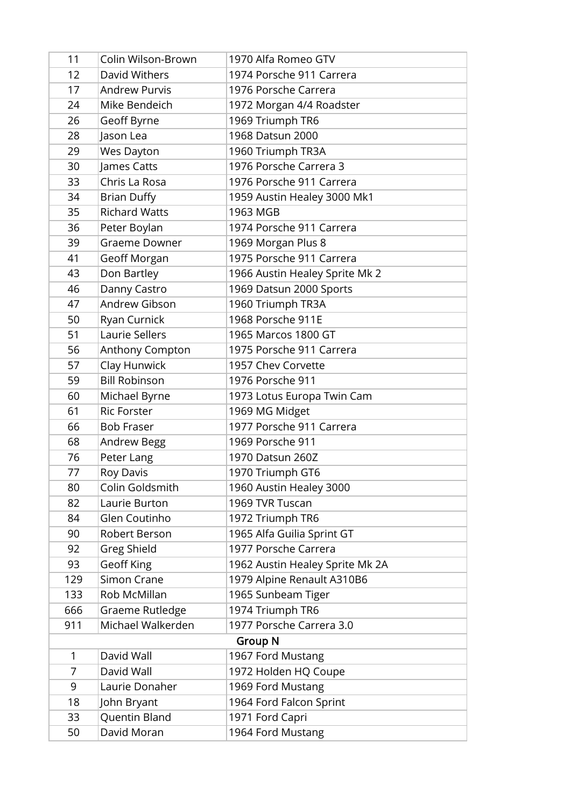| 11             | Colin Wilson-Brown   | 1970 Alfa Romeo GTV             |
|----------------|----------------------|---------------------------------|
| 12             | David Withers        | 1974 Porsche 911 Carrera        |
| 17             | <b>Andrew Purvis</b> | 1976 Porsche Carrera            |
| 24             | Mike Bendeich        | 1972 Morgan 4/4 Roadster        |
| 26             | Geoff Byrne          | 1969 Triumph TR6                |
| 28             | Jason Lea            | 1968 Datsun 2000                |
| 29             | Wes Dayton           | 1960 Triumph TR3A               |
| 30             | James Catts          | 1976 Porsche Carrera 3          |
| 33             | Chris La Rosa        | 1976 Porsche 911 Carrera        |
| 34             | <b>Brian Duffy</b>   | 1959 Austin Healey 3000 Mk1     |
| 35             | <b>Richard Watts</b> | 1963 MGB                        |
| 36             | Peter Boylan         | 1974 Porsche 911 Carrera        |
| 39             | Graeme Downer        | 1969 Morgan Plus 8              |
| 41             | Geoff Morgan         | 1975 Porsche 911 Carrera        |
| 43             | Don Bartley          | 1966 Austin Healey Sprite Mk 2  |
| 46             | Danny Castro         | 1969 Datsun 2000 Sports         |
| 47             | Andrew Gibson        | 1960 Triumph TR3A               |
| 50             | Ryan Curnick         | 1968 Porsche 911E               |
| 51             | Laurie Sellers       | 1965 Marcos 1800 GT             |
| 56             | Anthony Compton      | 1975 Porsche 911 Carrera        |
| 57             | Clay Hunwick         | 1957 Chev Corvette              |
| 59             | <b>Bill Robinson</b> | 1976 Porsche 911                |
| 60             | Michael Byrne        | 1973 Lotus Europa Twin Cam      |
| 61             | <b>Ric Forster</b>   | 1969 MG Midget                  |
| 66             | <b>Bob Fraser</b>    | 1977 Porsche 911 Carrera        |
| 68             | Andrew Begg          | 1969 Porsche 911                |
| 76             | Peter Lang           | 1970 Datsun 260Z                |
| 77             | Roy Davis            | 1970 Triumph GT6                |
| 80             | Colin Goldsmith      | 1960 Austin Healey 3000         |
| 82             | Laurie Burton        | 1969 TVR Tuscan                 |
| 84             | Glen Coutinho        | 1972 Triumph TR6                |
| 90             | Robert Berson        | 1965 Alfa Guilia Sprint GT      |
| 92             | Greg Shield          | 1977 Porsche Carrera            |
| 93             | <b>Geoff King</b>    | 1962 Austin Healey Sprite Mk 2A |
| 129            | Simon Crane          | 1979 Alpine Renault A310B6      |
| 133            | Rob McMillan         | 1965 Sunbeam Tiger              |
| 666            | Graeme Rutledge      | 1974 Triumph TR6                |
| 911            | Michael Walkerden    | 1977 Porsche Carrera 3.0        |
| <b>Group N</b> |                      |                                 |
| 1              | David Wall           | 1967 Ford Mustang               |
| $\overline{7}$ | David Wall           | 1972 Holden HQ Coupe            |
| 9              | Laurie Donaher       | 1969 Ford Mustang               |
| 18             | John Bryant          | 1964 Ford Falcon Sprint         |
| 33             | Quentin Bland        | 1971 Ford Capri                 |
| 50             | David Moran          | 1964 Ford Mustang               |